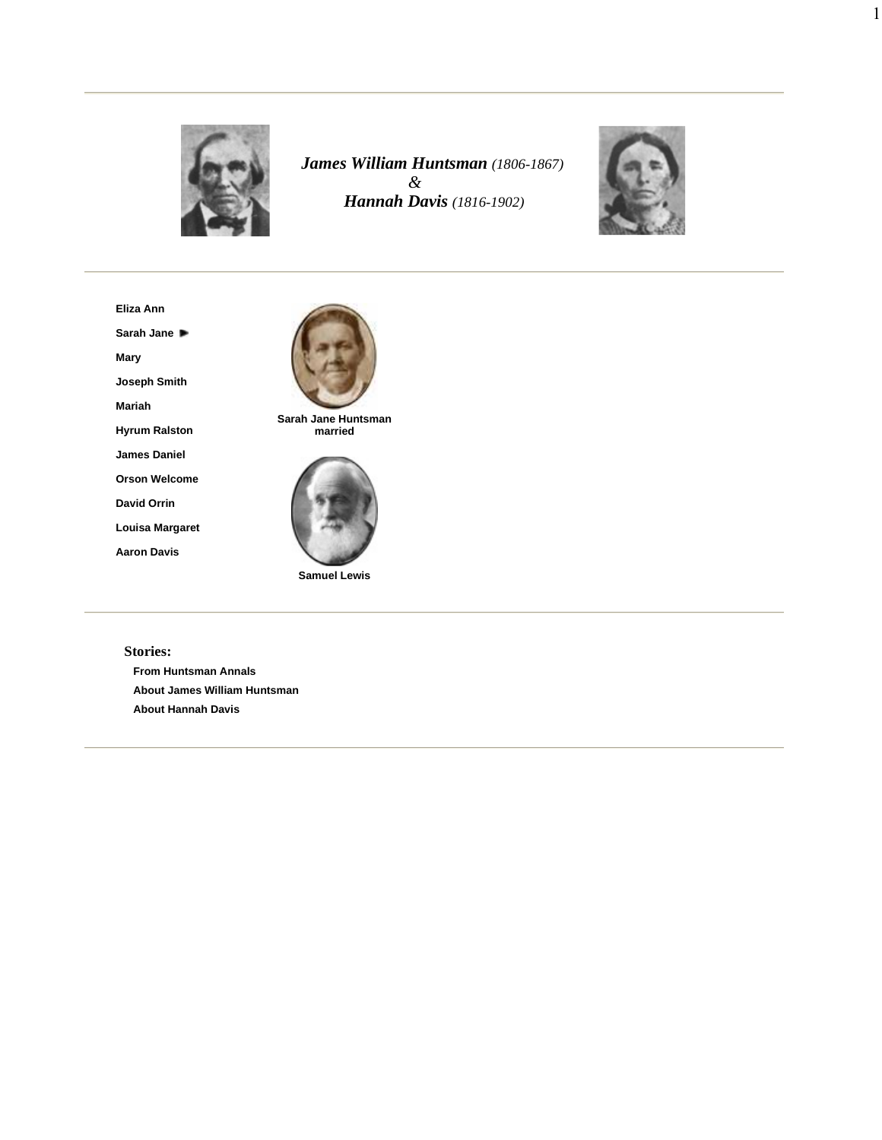

*James William Huntsman (1806-1867) & Hannah Davis (1816-1902)*



1

**Eliza Ann**

**Sarah Jane**

**Mary**

**Joseph Smith**

**Mariah**

**Hyrum Ralston**

**James Daniel**

**Orson Welcome**

**David Orrin**

**Louisa Margaret**

**Aaron Davis**



**Samuel Lewis**

## **Stories:**

**From Huntsman Annals About James William Huntsman About Hannah Davis**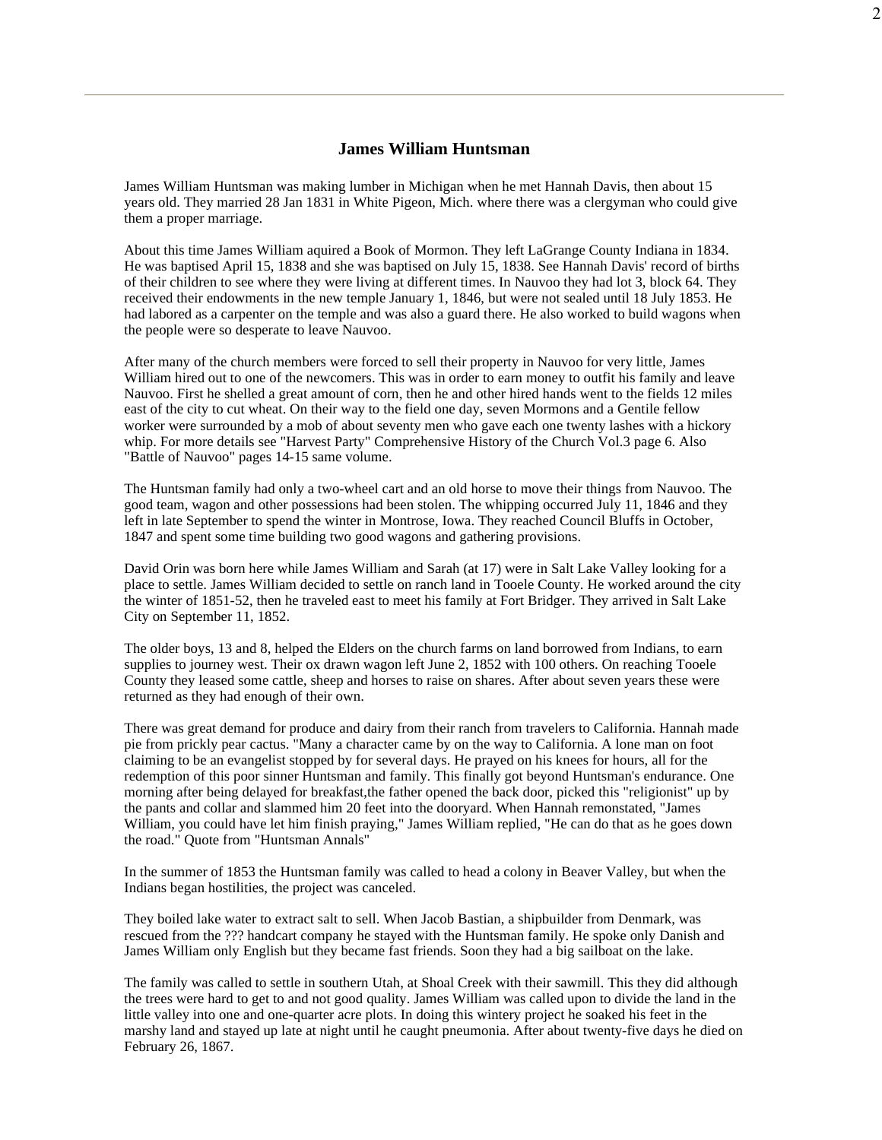## **James William Huntsman**

James William Huntsman was making lumber in Michigan when he met Hannah Davis, then about 15 years old. They married 28 Jan 1831 in White Pigeon, Mich. where there was a clergyman who could give them a proper marriage.

About this time James William aquired a Book of Mormon. They left LaGrange County Indiana in 1834. He was baptised April 15, 1838 and she was baptised on July 15, 1838. See Hannah Davis' record of births of their children to see where they were living at different times. In Nauvoo they had lot 3, block 64. They received their endowments in the new temple January 1, 1846, but were not sealed until 18 July 1853. He had labored as a carpenter on the temple and was also a guard there. He also worked to build wagons when the people were so desperate to leave Nauvoo.

After many of the church members were forced to sell their property in Nauvoo for very little, James William hired out to one of the newcomers. This was in order to earn money to outfit his family and leave Nauvoo. First he shelled a great amount of corn, then he and other hired hands went to the fields 12 miles east of the city to cut wheat. On their way to the field one day, seven Mormons and a Gentile fellow worker were surrounded by a mob of about seventy men who gave each one twenty lashes with a hickory whip. For more details see "Harvest Party" Comprehensive History of the Church Vol.3 page 6. Also "Battle of Nauvoo" pages 14-15 same volume.

The Huntsman family had only a two-wheel cart and an old horse to move their things from Nauvoo. The good team, wagon and other possessions had been stolen. The whipping occurred July 11, 1846 and they left in late September to spend the winter in Montrose, Iowa. They reached Council Bluffs in October, 1847 and spent some time building two good wagons and gathering provisions.

David Orin was born here while James William and Sarah (at 17) were in Salt Lake Valley looking for a place to settle. James William decided to settle on ranch land in Tooele County. He worked around the city the winter of 1851-52, then he traveled east to meet his family at Fort Bridger. They arrived in Salt Lake City on September 11, 1852.

The older boys, 13 and 8, helped the Elders on the church farms on land borrowed from Indians, to earn supplies to journey west. Their ox drawn wagon left June 2, 1852 with 100 others. On reaching Tooele County they leased some cattle, sheep and horses to raise on shares. After about seven years these were returned as they had enough of their own.

There was great demand for produce and dairy from their ranch from travelers to California. Hannah made pie from prickly pear cactus. "Many a character came by on the way to California. A lone man on foot claiming to be an evangelist stopped by for several days. He prayed on his knees for hours, all for the redemption of this poor sinner Huntsman and family. This finally got beyond Huntsman's endurance. One morning after being delayed for breakfast,the father opened the back door, picked this "religionist" up by the pants and collar and slammed him 20 feet into the dooryard. When Hannah remonstated, "James William, you could have let him finish praying," James William replied, "He can do that as he goes down the road." Quote from "Huntsman Annals"

In the summer of 1853 the Huntsman family was called to head a colony in Beaver Valley, but when the Indians began hostilities, the project was canceled.

They boiled lake water to extract salt to sell. When Jacob Bastian, a shipbuilder from Denmark, was rescued from the ??? handcart company he stayed with the Huntsman family. He spoke only Danish and James William only English but they became fast friends. Soon they had a big sailboat on the lake.

The family was called to settle in southern Utah, at Shoal Creek with their sawmill. This they did although the trees were hard to get to and not good quality. James William was called upon to divide the land in the little valley into one and one-quarter acre plots. In doing this wintery project he soaked his feet in the marshy land and stayed up late at night until he caught pneumonia. After about twenty-five days he died on February 26, 1867.

2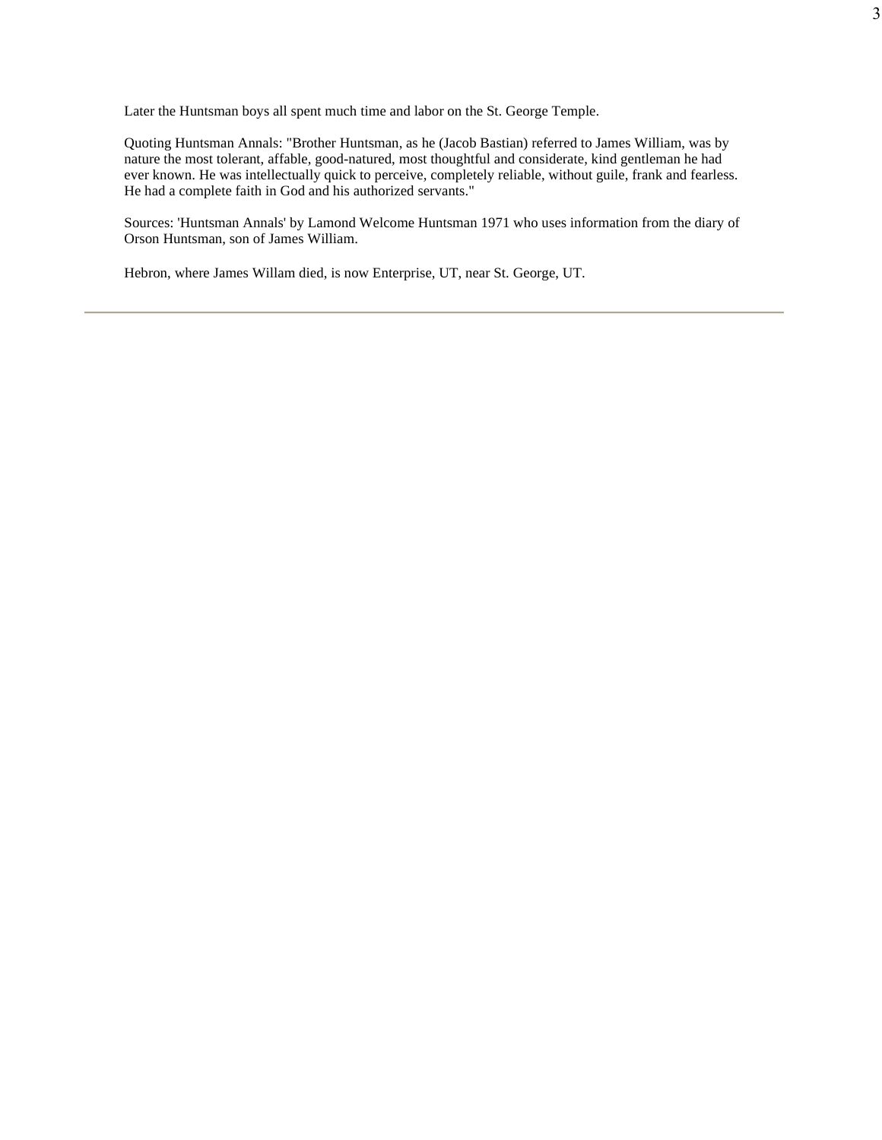Later the Huntsman boys all spent much time and labor on the St. George Temple.

Quoting Huntsman Annals: "Brother Huntsman, as he (Jacob Bastian) referred to James William, was by nature the most tolerant, affable, good-natured, most thoughtful and considerate, kind gentleman he had ever known. He was intellectually quick to perceive, completely reliable, without guile, frank and fearless. He had a complete faith in God and his authorized servants."

Sources: 'Huntsman Annals' by Lamond Welcome Huntsman 1971 who uses information from the diary of Orson Huntsman, son of James William.

Hebron, where James Willam died, is now Enterprise, UT, near St. George, UT.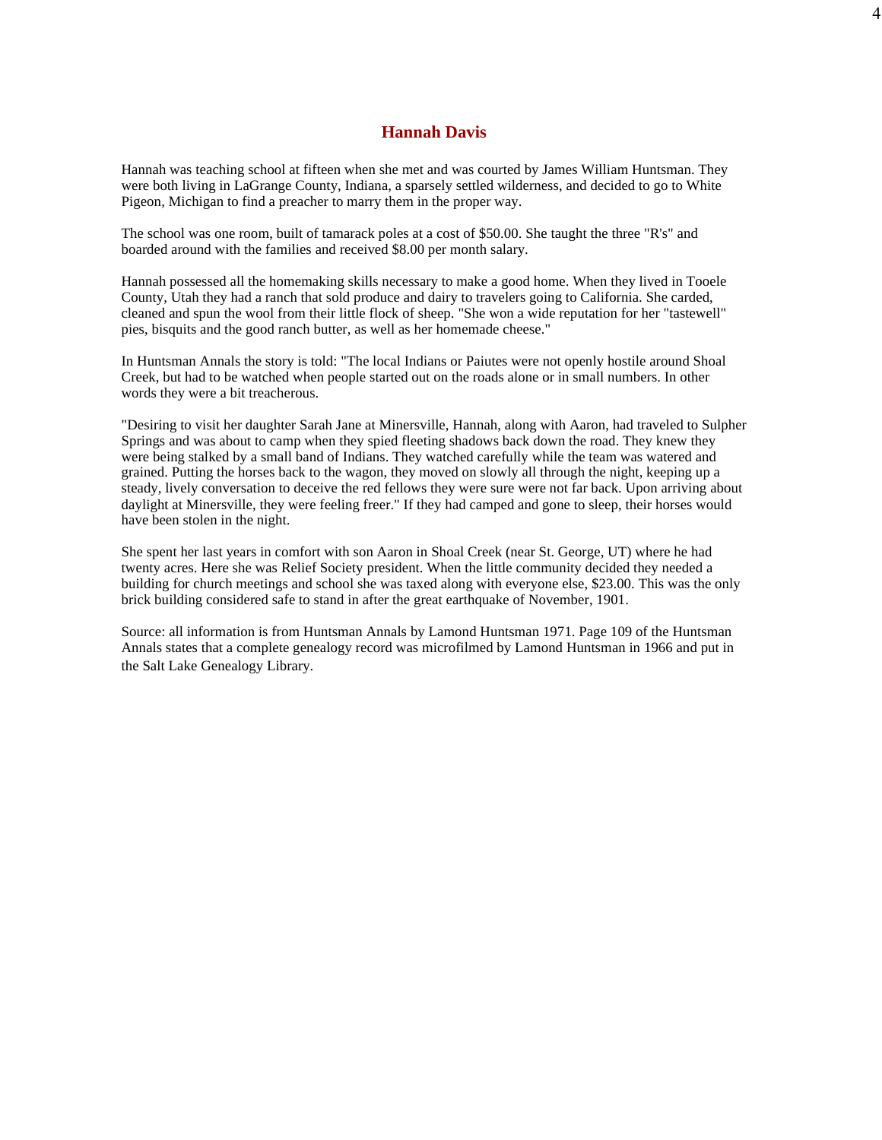## **Hannah Davis**

4

Hannah was teaching school at fifteen when she met and was courted by James William Huntsman. They were both living in LaGrange County, Indiana, a sparsely settled wilderness, and decided to go to White Pigeon, Michigan to find a preacher to marry them in the proper way.

The school was one room, built of tamarack poles at a cost of \$50.00. She taught the three "R's" and boarded around with the families and received \$8.00 per month salary.

Hannah possessed all the homemaking skills necessary to make a good home. When they lived in Tooele County, Utah they had a ranch that sold produce and dairy to travelers going to California. She carded, cleaned and spun the wool from their little flock of sheep. "She won a wide reputation for her "tastewell" pies, bisquits and the good ranch butter, as well as her homemade cheese."

In Huntsman Annals the story is told: "The local Indians or Paiutes were not openly hostile around Shoal Creek, but had to be watched when people started out on the roads alone or in small numbers. In other words they were a bit treacherous.

"Desiring to visit her daughter Sarah Jane at Minersville, Hannah, along with Aaron, had traveled to Sulpher Springs and was about to camp when they spied fleeting shadows back down the road. They knew they were being stalked by a small band of Indians. They watched carefully while the team was watered and grained. Putting the horses back to the wagon, they moved on slowly all through the night, keeping up a steady, lively conversation to deceive the red fellows they were sure were not far back. Upon arriving about daylight at Minersville, they were feeling freer." If they had camped and gone to sleep, their horses would have been stolen in the night.

She spent her last years in comfort with son Aaron in Shoal Creek (near St. George, UT) where he had twenty acres. Here she was Relief Society president. When the little community decided they needed a building for church meetings and school she was taxed along with everyone else, \$23.00. This was the only brick building considered safe to stand in after the great earthquake of November, 1901.

Source: all information is from Huntsman Annals by Lamond Huntsman 1971. Page 109 of the Huntsman Annals states that a complete genealogy record was microfilmed by Lamond Huntsman in 1966 and put in the Salt Lake Genealogy Library.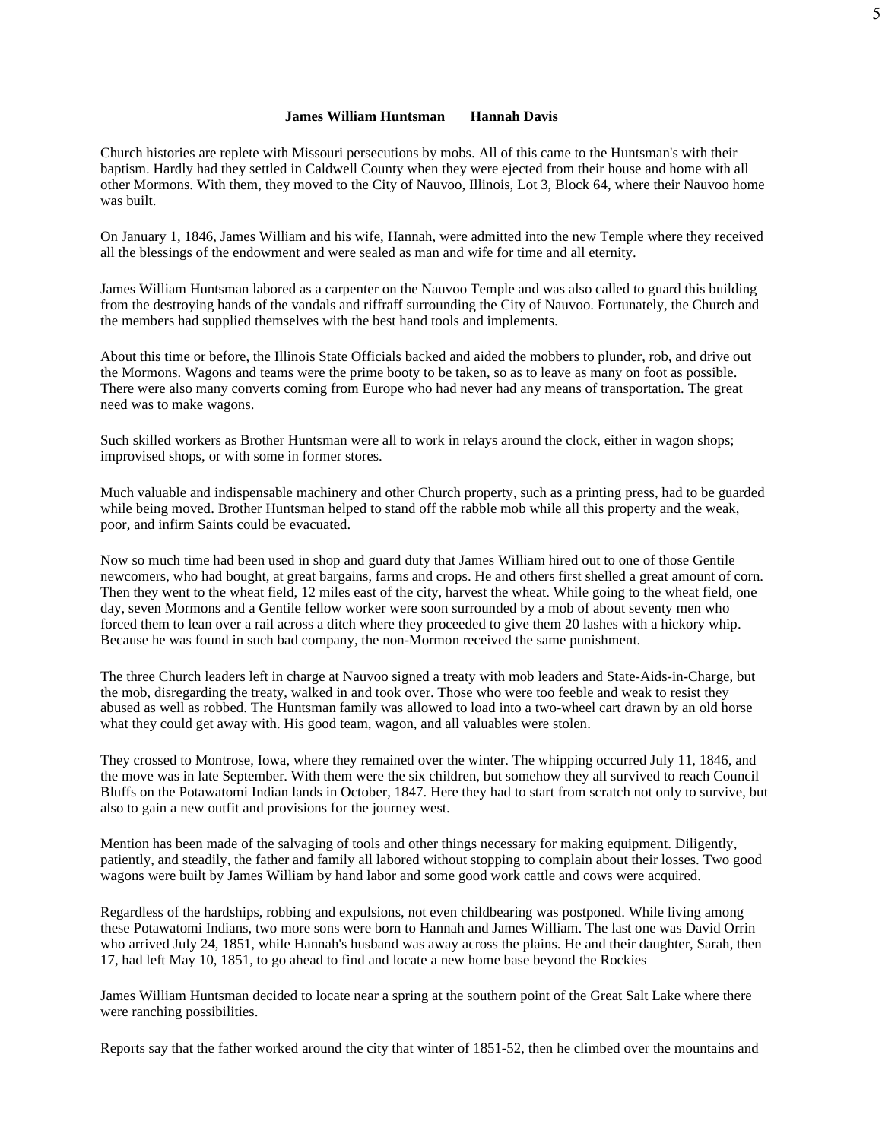## **James William Huntsman Hannah Davis**

5

Church histories are replete with Missouri persecutions by mobs. All of this came to the Huntsman's with their baptism. Hardly had they settled in Caldwell County when they were ejected from their house and home with all other Mormons. With them, they moved to the City of Nauvoo, Illinois, Lot 3, Block 64, where their Nauvoo home was built.

On January 1, 1846, James William and his wife, Hannah, were admitted into the new Temple where they received all the blessings of the endowment and were sealed as man and wife for time and all eternity.

James William Huntsman labored as a carpenter on the Nauvoo Temple and was also called to guard this building from the destroying hands of the vandals and riffraff surrounding the City of Nauvoo. Fortunately, the Church and the members had supplied themselves with the best hand tools and implements.

About this time or before, the Illinois State Officials backed and aided the mobbers to plunder, rob, and drive out the Mormons. Wagons and teams were the prime booty to be taken, so as to leave as many on foot as possible. There were also many converts coming from Europe who had never had any means of transportation. The great need was to make wagons.

Such skilled workers as Brother Huntsman were all to work in relays around the clock, either in wagon shops; improvised shops, or with some in former stores.

Much valuable and indispensable machinery and other Church property, such as a printing press, had to be guarded while being moved. Brother Huntsman helped to stand off the rabble mob while all this property and the weak, poor, and infirm Saints could be evacuated.

Now so much time had been used in shop and guard duty that James William hired out to one of those Gentile newcomers, who had bought, at great bargains, farms and crops. He and others first shelled a great amount of corn. Then they went to the wheat field, 12 miles east of the city, harvest the wheat. While going to the wheat field, one day, seven Mormons and a Gentile fellow worker were soon surrounded by a mob of about seventy men who forced them to lean over a rail across a ditch where they proceeded to give them 20 lashes with a hickory whip. Because he was found in such bad company, the non-Mormon received the same punishment.

The three Church leaders left in charge at Nauvoo signed a treaty with mob leaders and State-Aids-in-Charge, but the mob, disregarding the treaty, walked in and took over. Those who were too feeble and weak to resist they abused as well as robbed. The Huntsman family was allowed to load into a two-wheel cart drawn by an old horse what they could get away with. His good team, wagon, and all valuables were stolen.

They crossed to Montrose, Iowa, where they remained over the winter. The whipping occurred July 11, 1846, and the move was in late September. With them were the six children, but somehow they all survived to reach Council Bluffs on the Potawatomi Indian lands in October, 1847. Here they had to start from scratch not only to survive, but also to gain a new outfit and provisions for the journey west.

Mention has been made of the salvaging of tools and other things necessary for making equipment. Diligently, patiently, and steadily, the father and family all labored without stopping to complain about their losses. Two good wagons were built by James William by hand labor and some good work cattle and cows were acquired.

Regardless of the hardships, robbing and expulsions, not even childbearing was postponed. While living among these Potawatomi Indians, two more sons were born to Hannah and James William. The last one was David Orrin who arrived July 24, 1851, while Hannah's husband was away across the plains. He and their daughter, Sarah, then 17, had left May 10, 1851, to go ahead to find and locate a new home base beyond the Rockies

James William Huntsman decided to locate near a spring at the southern point of the Great Salt Lake where there were ranching possibilities.

Reports say that the father worked around the city that winter of 1851-52, then he climbed over the mountains and